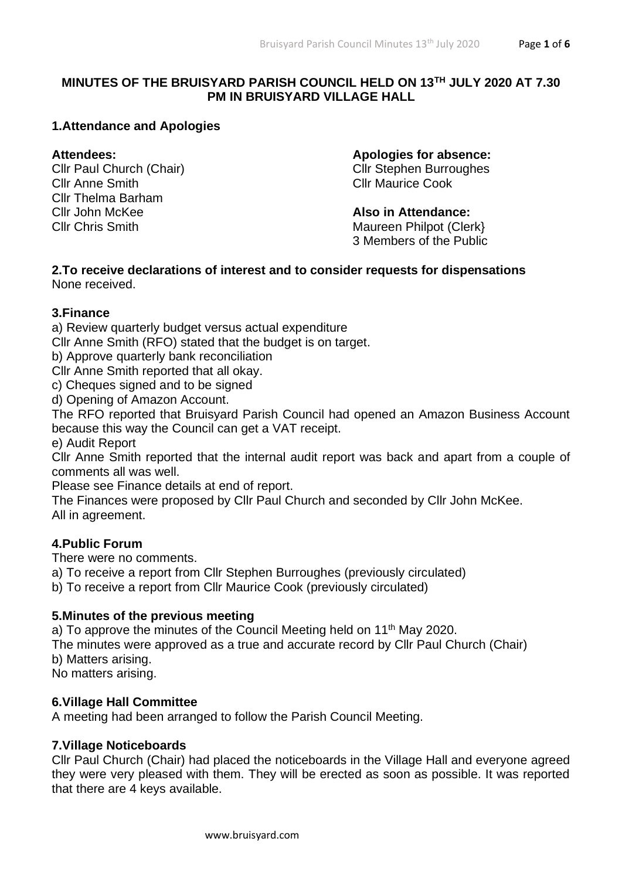# **MINUTES OF THE BRUISYARD PARISH COUNCIL HELD ON 13TH JULY 2020 AT 7.30 PM IN BRUISYARD VILLAGE HALL**

# **1.Attendance and Apologies**

Cllr Paul Church (Chair) Cllr Stephen Burroughes Cllr Anne Smith Cllr Maurice Cook Cllr Thelma Barham **Cllr John McKee <b>Also in Attendance:** 

**Attendees: Apologies for absence:**

Cllr Chris Smith **Maureen Philpot (Clerk)** Maureen Philpot (Clerk) 3 Members of the Public

#### **2.To receive declarations of interest and to consider requests for dispensations** None received.

# **3.Finance**

a) Review quarterly budget versus actual expenditure

Cllr Anne Smith (RFO) stated that the budget is on target.

b) Approve quarterly bank reconciliation

Cllr Anne Smith reported that all okay.

c) Cheques signed and to be signed

d) Opening of Amazon Account.

The RFO reported that Bruisyard Parish Council had opened an Amazon Business Account because this way the Council can get a VAT receipt.

e) Audit Report

Cllr Anne Smith reported that the internal audit report was back and apart from a couple of comments all was well.

Please see Finance details at end of report.

The Finances were proposed by Cllr Paul Church and seconded by Cllr John McKee. All in agreement.

# **4.Public Forum**

There were no comments.

a) To receive a report from Cllr Stephen Burroughes (previously circulated)

b) To receive a report from Cllr Maurice Cook (previously circulated)

# **5.Minutes of the previous meeting**

a) To approve the minutes of the Council Meeting held on  $11<sup>th</sup>$  May 2020.

The minutes were approved as a true and accurate record by Cllr Paul Church (Chair) b) Matters arising.

No matters arising.

# **6.Village Hall Committee**

A meeting had been arranged to follow the Parish Council Meeting.

# **7.Village Noticeboards**

Cllr Paul Church (Chair) had placed the noticeboards in the Village Hall and everyone agreed they were very pleased with them. They will be erected as soon as possible. It was reported that there are 4 keys available.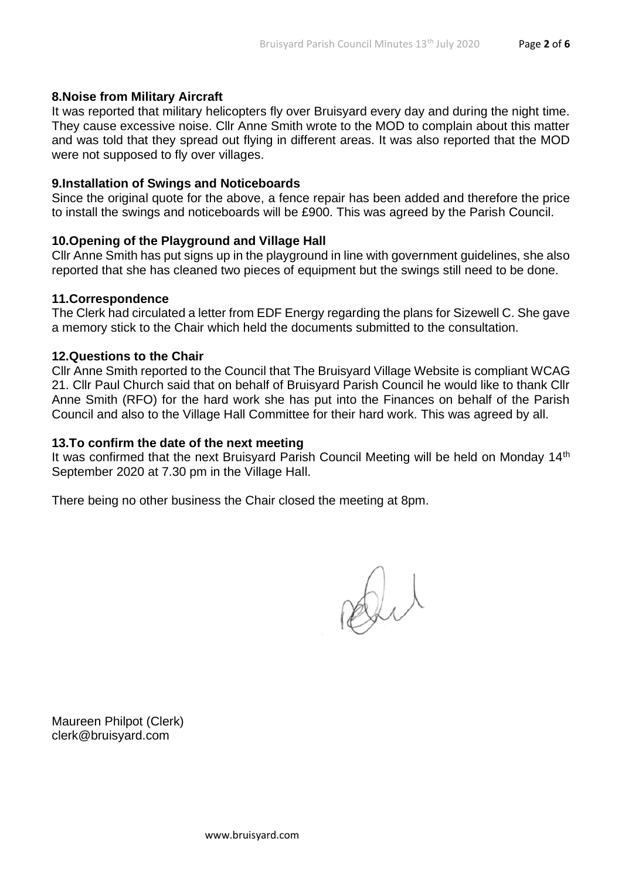### **8.Noise from Military Aircraft**

It was reported that military helicopters fly over Bruisyard every day and during the night time. They cause excessive noise. Cllr Anne Smith wrote to the MOD to complain about this matter and was told that they spread out flying in different areas. It was also reported that the MOD were not supposed to fly over villages.

#### **9.Installation of Swings and Noticeboards**

Since the original quote for the above, a fence repair has been added and therefore the price to install the swings and noticeboards will be £900. This was agreed by the Parish Council.

### **10.Opening of the Playground and Village Hall**

Cllr Anne Smith has put signs up in the playground in line with government guidelines, she also reported that she has cleaned two pieces of equipment but the swings still need to be done.

#### **11.Correspondence**

The Clerk had circulated a letter from EDF Energy regarding the plans for Sizewell C. She gave a memory stick to the Chair which held the documents submitted to the consultation.

#### **12.Questions to the Chair**

Cllr Anne Smith reported to the Council that The Bruisyard Village Website is compliant WCAG 21. Cllr Paul Church said that on behalf of Bruisyard Parish Council he would like to thank Cllr Anne Smith (RFO) for the hard work she has put into the Finances on behalf of the Parish Council and also to the Village Hall Committee for their hard work. This was agreed by all.

#### **13.To confirm the date of the next meeting**

It was confirmed that the next Bruisyard Parish Council Meeting will be held on Monday 14<sup>th</sup> September 2020 at 7.30 pm in the Village Hall.

There being no other business the Chair closed the meeting at 8pm.

Dil

Maureen Philpot (Clerk) clerk@bruisyard.com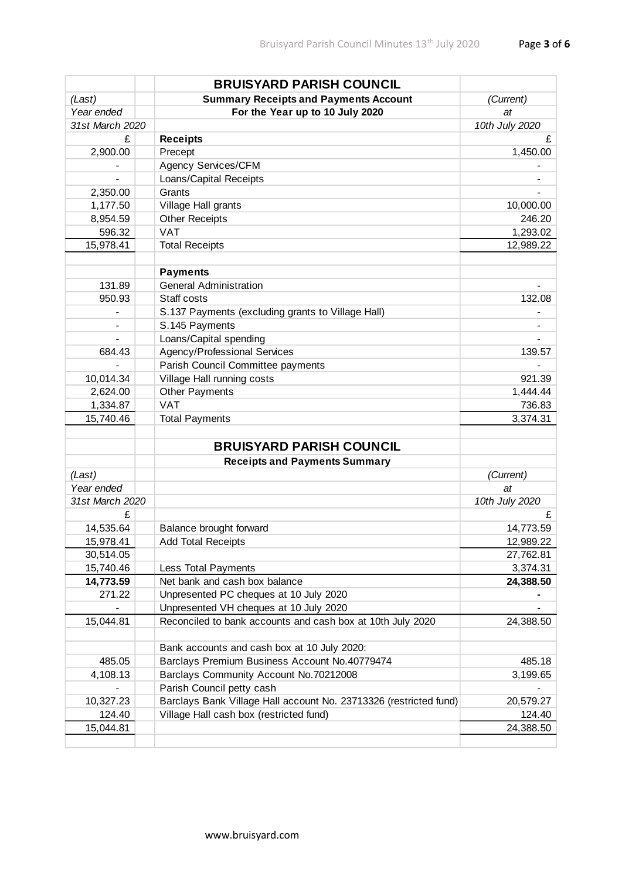|                              | <b>BRUISYARD PARISH COUNCIL</b>                                   |                |
|------------------------------|-------------------------------------------------------------------|----------------|
| (Last)                       | <b>Summary Receipts and Payments Account</b>                      | (Current)      |
| Year ended                   | For the Year up to 10 July 2020                                   | at             |
| 31st March 2020              |                                                                   | 10th July 2020 |
| £                            | <b>Receipts</b>                                                   | £              |
| 2,900.00                     | Precept                                                           | 1,450.00       |
|                              | Agency Services/CFM                                               |                |
| $\qquad \qquad \blacksquare$ | Loans/Capital Receipts                                            |                |
| 2,350.00                     | Grants                                                            |                |
| 1,177.50                     | Village Hall grants                                               | 10,000.00      |
| 8,954.59                     | <b>Other Receipts</b>                                             | 246.20         |
| 596.32                       | <b>VAT</b>                                                        | 1,293.02       |
| 15,978.41                    | <b>Total Receipts</b>                                             | 12,989.22      |
|                              |                                                                   |                |
|                              | <b>Payments</b>                                                   |                |
| 131.89                       | <b>General Administration</b>                                     |                |
| 950.93                       | Staff costs                                                       | 132.08         |
|                              | S.137 Payments (excluding grants to Village Hall)                 |                |
|                              | S.145 Payments                                                    |                |
|                              | Loans/Capital spending                                            |                |
| 684.43                       | Agency/Professional Services                                      | 139.57         |
|                              | Parish Council Committee payments                                 |                |
| 10,014.34                    | Village Hall running costs                                        | 921.39         |
| 2,624.00                     | <b>Other Payments</b>                                             | 1,444.44       |
| 1,334.87                     | <b>VAT</b>                                                        | 736.83         |
| 15,740.46                    | <b>Total Payments</b>                                             | 3,374.31       |
|                              |                                                                   |                |
|                              | <b>BRUISYARD PARISH COUNCIL</b>                                   |                |
| (Last)                       | <b>Receipts and Payments Summary</b>                              | (Current)      |
| Year ended                   |                                                                   | at             |
| 31st March 2020              |                                                                   | 10th July 2020 |
| £                            |                                                                   | £              |
| 14,535.64                    | Balance brought forward                                           | 14,773.59      |
| 15,978.41                    |                                                                   | 12,989.22      |
| 30,514.05                    | Add Total Receipts                                                | 27,762.81      |
| 15,740.46                    | Less Total Payments                                               | 3,374.31       |
| 14,773.59                    | Net bank and cash box balance                                     | 24,388.50      |
| 271.22                       | Unpresented PC cheques at 10 July 2020                            |                |
|                              | Unpresented VH cheques at 10 July 2020                            |                |
| 15,044.81                    | Reconciled to bank accounts and cash box at 10th July 2020        | 24,388.50      |
|                              |                                                                   |                |
|                              | Bank accounts and cash box at 10 July 2020:                       |                |
| 485.05                       | Barclays Premium Business Account No.40779474                     | 485.18         |
| 4,108.13                     | Barclays Community Account No.70212008                            | 3,199.65       |
|                              | Parish Council petty cash                                         |                |
| 10,327.23                    | Barclays Bank Village Hall account No. 23713326 (restricted fund) | 20,579.27      |
| 124.40                       | Village Hall cash box (restricted fund)                           | 124.40         |
| 15,044.81                    |                                                                   | 24,388.50      |
|                              |                                                                   |                |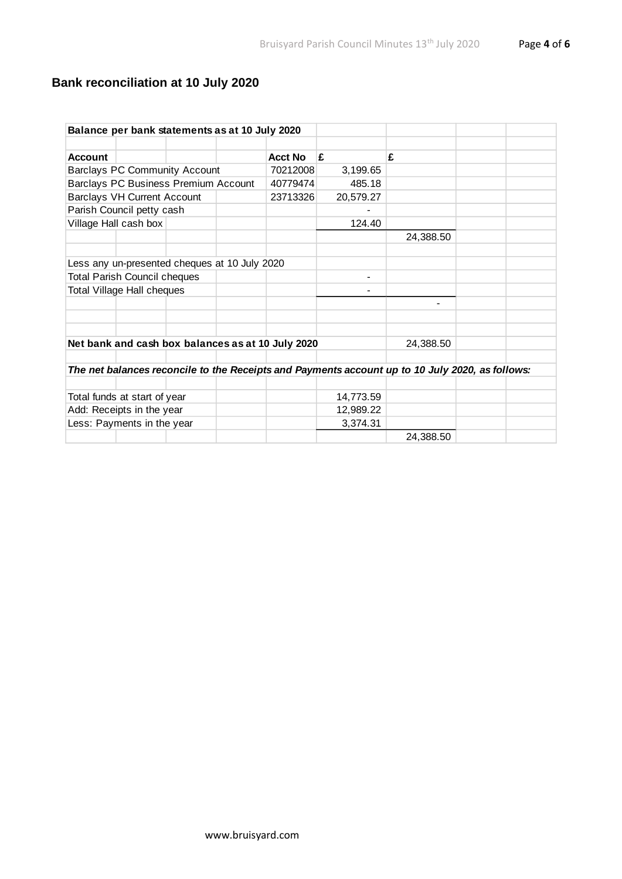# **Bank reconciliation at 10 July 2020**

| Balance per bank statements as at 10 July 2020                                                  |                                               |  |  |                                                   |           |           |  |  |
|-------------------------------------------------------------------------------------------------|-----------------------------------------------|--|--|---------------------------------------------------|-----------|-----------|--|--|
|                                                                                                 |                                               |  |  |                                                   |           |           |  |  |
| <b>Account</b>                                                                                  |                                               |  |  | <b>Acct No</b>                                    | £         | £         |  |  |
| <b>Barclays PC Community Account</b>                                                            |                                               |  |  | 70212008                                          | 3,199.65  |           |  |  |
| Barclays PC Business Premium Account                                                            |                                               |  |  | 40779474                                          | 485.18    |           |  |  |
| <b>Barclays VH Current Account</b>                                                              |                                               |  |  | 23713326                                          | 20,579.27 |           |  |  |
| Parish Council petty cash                                                                       |                                               |  |  |                                                   |           |           |  |  |
| Village Hall cash box                                                                           |                                               |  |  |                                                   | 124.40    |           |  |  |
|                                                                                                 |                                               |  |  |                                                   |           | 24,388.50 |  |  |
|                                                                                                 |                                               |  |  |                                                   |           |           |  |  |
|                                                                                                 | Less any un-presented cheques at 10 July 2020 |  |  |                                                   |           |           |  |  |
|                                                                                                 | <b>Total Parish Council cheques</b>           |  |  |                                                   | -         |           |  |  |
| <b>Total Village Hall cheques</b>                                                               |                                               |  |  |                                                   |           |           |  |  |
|                                                                                                 |                                               |  |  |                                                   |           |           |  |  |
|                                                                                                 |                                               |  |  |                                                   |           |           |  |  |
|                                                                                                 |                                               |  |  |                                                   |           |           |  |  |
|                                                                                                 |                                               |  |  | Net bank and cash box balances as at 10 July 2020 |           | 24,388.50 |  |  |
|                                                                                                 |                                               |  |  |                                                   |           |           |  |  |
| The net balances reconcile to the Receipts and Payments account up to 10 July 2020, as follows: |                                               |  |  |                                                   |           |           |  |  |
|                                                                                                 |                                               |  |  |                                                   |           |           |  |  |
| Total funds at start of year                                                                    |                                               |  |  |                                                   | 14,773.59 |           |  |  |
| Add: Receipts in the year                                                                       |                                               |  |  |                                                   | 12,989.22 |           |  |  |
| Less: Payments in the year                                                                      |                                               |  |  |                                                   | 3,374.31  |           |  |  |
|                                                                                                 |                                               |  |  |                                                   |           | 24,388.50 |  |  |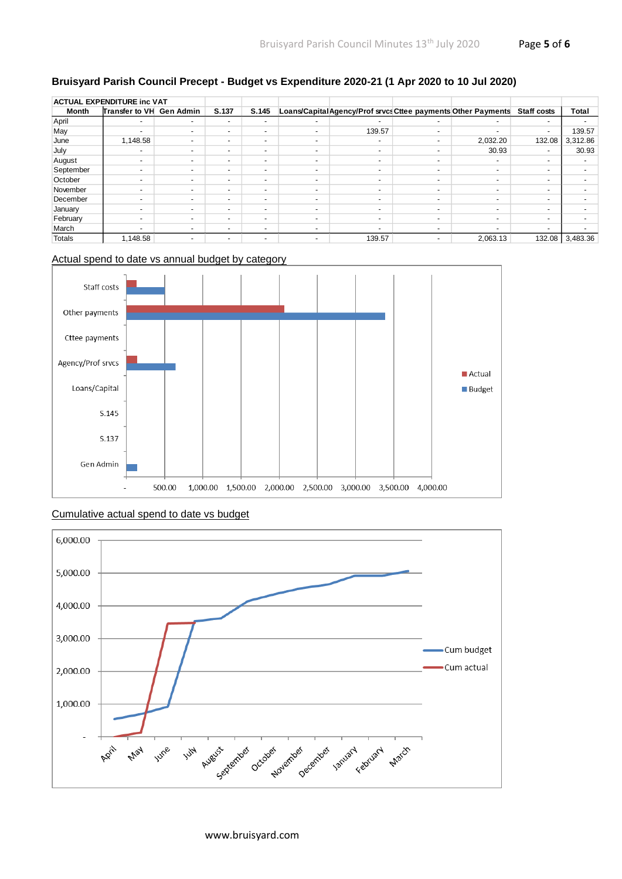### **Bruisyard Parish Council Precept - Budget vs Expenditure 2020-21 (1 Apr 2020 to 10 Jul 2020)**

| <b>ACTUAL EXPENDITURE inc VAT</b> |                          |                          |                          |                          |                          |                                                              |                          |          |                    |              |
|-----------------------------------|--------------------------|--------------------------|--------------------------|--------------------------|--------------------------|--------------------------------------------------------------|--------------------------|----------|--------------------|--------------|
| Month                             | Transfer to VH Gen Admin |                          | S.137                    | S.145                    |                          | Loans/CapitalAgency/Prof srvcs Cttee payments Other Payments |                          |          | <b>Staff costs</b> | <b>Total</b> |
| April                             | $\overline{\phantom{a}}$ | $\overline{\phantom{0}}$ | $\overline{\phantom{0}}$ | $\overline{\phantom{a}}$ | $\overline{\phantom{a}}$ | $\overline{\phantom{a}}$                                     | $\overline{\phantom{a}}$ | -        |                    |              |
| May                               | $\overline{\phantom{a}}$ | $\overline{\phantom{a}}$ | $\overline{\phantom{a}}$ | $\overline{\phantom{a}}$ | $\overline{\phantom{a}}$ | 139.57                                                       |                          | ۰        |                    | 139.57       |
| June                              | 1,148.58                 |                          | $\overline{\phantom{a}}$ | $\overline{\phantom{a}}$ | $\overline{\phantom{a}}$ |                                                              |                          | 2,032.20 | 132.08             | 3,312.86     |
| July                              | $\overline{\phantom{a}}$ | -                        | $\overline{\phantom{a}}$ | $\overline{\phantom{a}}$ | $\overline{\phantom{a}}$ | $\overline{\phantom{a}}$                                     |                          | 30.93    |                    | 30.93        |
| August                            | $\overline{\phantom{a}}$ |                          | $\overline{\phantom{a}}$ | $\overline{\phantom{a}}$ | $\overline{\phantom{a}}$ | $\overline{\phantom{a}}$                                     |                          | ۰        |                    |              |
| September                         | $\overline{\phantom{a}}$ |                          | $\overline{\phantom{a}}$ | $\overline{\phantom{a}}$ | $\overline{\phantom{a}}$ |                                                              |                          | -        |                    |              |
| October                           | $\overline{\phantom{a}}$ | $\overline{\phantom{a}}$ | $\overline{\phantom{a}}$ | $\overline{\phantom{a}}$ | $\overline{\phantom{a}}$ | $\overline{\phantom{a}}$                                     | $\overline{\phantom{a}}$ | ٠        |                    |              |
| November                          | $\overline{\phantom{a}}$ | $\overline{\phantom{a}}$ | $\overline{\phantom{a}}$ | $\overline{\phantom{a}}$ | $\overline{\phantom{a}}$ |                                                              |                          | -        |                    |              |
| December                          | $\overline{\phantom{a}}$ | -                        | $\overline{\phantom{a}}$ | $\overline{\phantom{a}}$ | $\overline{\phantom{a}}$ | $\overline{\phantom{a}}$                                     | $\overline{\phantom{a}}$ | ٠        |                    |              |
| January                           | $\overline{\phantom{a}}$ | $\overline{\phantom{a}}$ | $\overline{\phantom{a}}$ | $\overline{\phantom{a}}$ | $\overline{\phantom{a}}$ |                                                              |                          | -        |                    |              |
| February                          | $\overline{\phantom{a}}$ | $\overline{\phantom{a}}$ | $\overline{\phantom{a}}$ | $\overline{\phantom{a}}$ | $\overline{\phantom{a}}$ |                                                              |                          | ٠        |                    |              |
| March                             | $\overline{\phantom{a}}$ | -                        | $\overline{\phantom{a}}$ | $\overline{\phantom{a}}$ | $\overline{\phantom{a}}$ |                                                              |                          | ۰        |                    |              |
| <b>Totals</b>                     | 1.148.58                 | -                        | $\overline{\phantom{a}}$ | $\overline{\phantom{a}}$ | $\overline{\phantom{a}}$ | 139.57                                                       |                          | 2.063.13 | 132.08             | 3,483.36     |

#### Actual spend to date vs annual budget by category



#### Cumulative actual spend to date vs budget



www.bruisyard.com